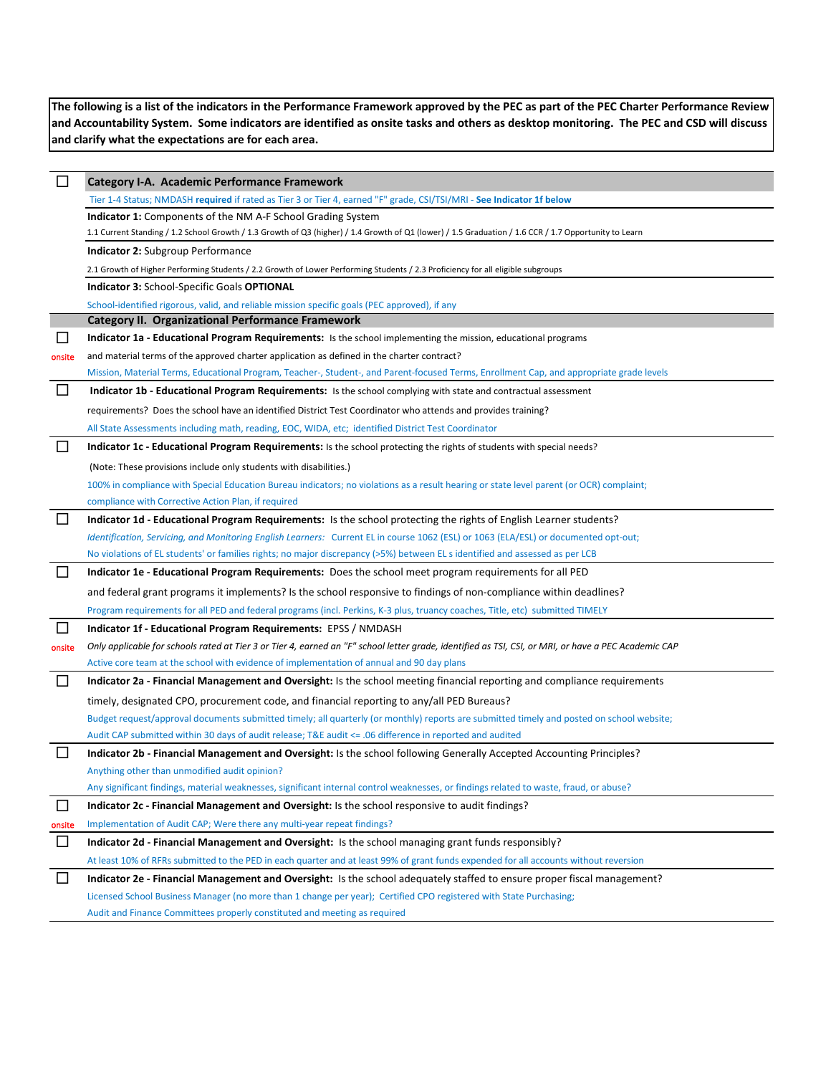**The following is a list of the indicators in the Performance Framework approved by the PEC as part of the PEC Charter Performance Review and Accountability System. Some indicators are identified as onsite tasks and others as desktop monitoring. The PEC and CSD will discuss and clarify what the expectations are for each area.**

| $\Box$ | <b>Category I-A. Academic Performance Framework</b>                                                                                                   |
|--------|-------------------------------------------------------------------------------------------------------------------------------------------------------|
|        | Tier 1-4 Status; NMDASH required if rated as Tier 3 or Tier 4, earned "F" grade, CSI/TSI/MRI - See Indicator 1f below                                 |
|        | Indicator 1: Components of the NM A-F School Grading System                                                                                           |
|        | 1.1 Current Standing / 1.2 School Growth / 1.3 Growth of Q3 (higher) / 1.4 Growth of Q1 (lower) / 1.5 Graduation / 1.6 CCR / 1.7 Opportunity to Learn |
|        | <b>Indicator 2: Subgroup Performance</b>                                                                                                              |
|        | 2.1 Growth of Higher Performing Students / 2.2 Growth of Lower Performing Students / 2.3 Proficiency for all eligible subgroups                       |
|        | <b>Indicator 3: School-Specific Goals OPTIONAL</b>                                                                                                    |
|        | School-identified rigorous, valid, and reliable mission specific goals (PEC approved), if any                                                         |
|        | <b>Category II. Organizational Performance Framework</b>                                                                                              |
| M      | Indicator 1a - Educational Program Requirements: Is the school implementing the mission, educational programs                                         |
| onsite | and material terms of the approved charter application as defined in the charter contract?                                                            |
|        | Mission, Material Terms, Educational Program, Teacher-, Student-, and Parent-focused Terms, Enrollment Cap, and appropriate grade levels              |
| $\Box$ | Indicator 1b - Educational Program Requirements: Is the school complying with state and contractual assessment                                        |
|        | requirements? Does the school have an identified District Test Coordinator who attends and provides training?                                         |
|        | All State Assessments including math, reading, EOC, WIDA, etc; identified District Test Coordinator                                                   |
| $\Box$ | Indicator 1c - Educational Program Requirements: Is the school protecting the rights of students with special needs?                                  |
|        | (Note: These provisions include only students with disabilities.)                                                                                     |
|        | 100% in compliance with Special Education Bureau indicators; no violations as a result hearing or state level parent (or OCR) complaint;              |
|        | compliance with Corrective Action Plan, if required                                                                                                   |
| □      | Indicator 1d - Educational Program Requirements: Is the school protecting the rights of English Learner students?                                     |
|        | Identification, Servicing, and Monitoring English Learners: Current EL in course 1062 (ESL) or 1063 (ELA/ESL) or documented opt-out;                  |
|        | No violations of EL students' or families rights; no major discrepancy (>5%) between EL s identified and assessed as per LCB                          |
| $\Box$ | Indicator 1e - Educational Program Requirements: Does the school meet program requirements for all PED                                                |
|        | and federal grant programs it implements? Is the school responsive to findings of non-compliance within deadlines?                                    |
|        | Program requirements for all PED and federal programs (incl. Perkins, K-3 plus, truancy coaches, Title, etc) submitted TIMELY                         |
| □      | Indicator 1f - Educational Program Requirements: EPSS / NMDASH                                                                                        |
| onsite | Only applicable for schools rated at Tier 3 or Tier 4, earned an "F" school letter grade, identified as TSI, CSI, or MRI, or have a PEC Academic CAP  |
|        | Active core team at the school with evidence of implementation of annual and 90 day plans                                                             |
|        | Indicator 2a - Financial Management and Oversight: Is the school meeting financial reporting and compliance requirements                              |
|        | timely, designated CPO, procurement code, and financial reporting to any/all PED Bureaus?                                                             |
|        | Budget request/approval documents submitted timely; all quarterly (or monthly) reports are submitted timely and posted on school website;             |
|        | Audit CAP submitted within 30 days of audit release; T&E audit <= .06 difference in reported and audited                                              |
| $\Box$ | Indicator 2b - Financial Management and Oversight: Is the school following Generally Accepted Accounting Principles?                                  |
|        | Anything other than unmodified audit opinion?                                                                                                         |
|        | Any significant findings, material weaknesses, significant internal control weaknesses, or findings related to waste, fraud, or abuse?                |
| $\Box$ | Indicator 2c - Financial Management and Oversight: Is the school responsive to audit findings?                                                        |
| onsite | Implementation of Audit CAP; Were there any multi-year repeat findings?                                                                               |
| $\Box$ | Indicator 2d - Financial Management and Oversight: Is the school managing grant funds responsibly?                                                    |
|        | At least 10% of RFRs submitted to the PED in each quarter and at least 99% of grant funds expended for all accounts without reversion                 |
| $\Box$ | Indicator 2e - Financial Management and Oversight: Is the school adequately staffed to ensure proper fiscal management?                               |
|        | Licensed School Business Manager (no more than 1 change per year); Certified CPO registered with State Purchasing;                                    |
|        | Audit and Finance Committees properly constituted and meeting as required                                                                             |